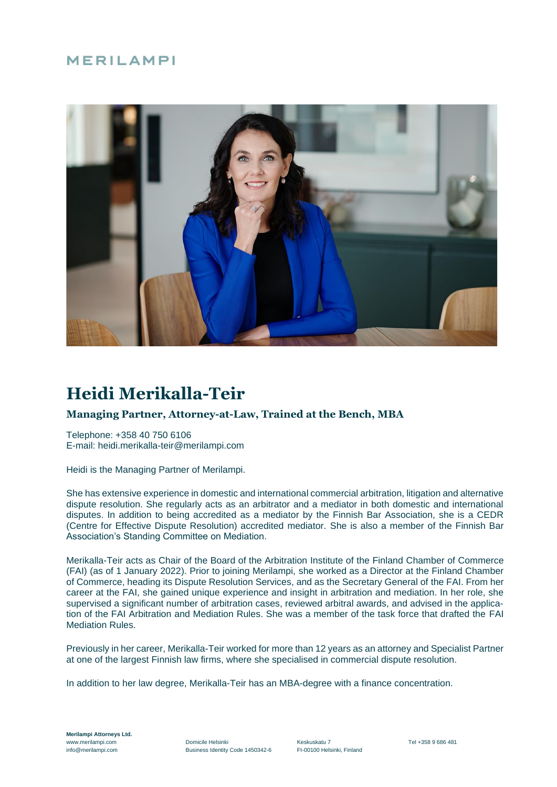# MERILAMPI



# **Heidi Merikalla-Teir**

# **Managing Partner, Attorney-at-Law, Trained at the Bench, MBA**

Telephone: +358 40 750 6106 E-mail: heidi.merikalla-teir@merilampi.com

Heidi is the Managing Partner of Merilampi.

She has extensive experience in domestic and international commercial arbitration, litigation and alternative dispute resolution. She regularly acts as an arbitrator and a mediator in both domestic and international disputes. In addition to being accredited as a mediator by the Finnish Bar Association, she is a CEDR (Centre for Effective Dispute Resolution) accredited mediator. She is also a member of the Finnish Bar Association's Standing Committee on Mediation.

Merikalla-Teir acts as Chair of the Board of the Arbitration Institute of the Finland Chamber of Commerce (FAI) (as of 1 January 2022). Prior to joining Merilampi, she worked as a Director at the Finland Chamber of Commerce, heading its Dispute Resolution Services, and as the Secretary General of the FAI. From her career at the FAI, she gained unique experience and insight in arbitration and mediation. In her role, she supervised a significant number of arbitration cases, reviewed arbitral awards, and advised in the application of the FAI Arbitration and Mediation Rules. She was a member of the task force that drafted the FAI Mediation Rules.

Previously in her career, Merikalla-Teir worked for more than 12 years as an attorney and Specialist Partner at one of the largest Finnish law firms, where she specialised in commercial dispute resolution.

In addition to her law degree, Merikalla-Teir has an MBA-degree with a finance concentration.

**Merilampi Attorneys Ltd.**

www.merilampi.com Charles Comicile Helsinki Comicile Helsinki Keskuskatu 7 Cel +358 9 686 481<br>
mfo@merilampi.com Business Identity Code 1450342-6 FI-00100 Helsinki, Finland Business Identity Code 1450342-6